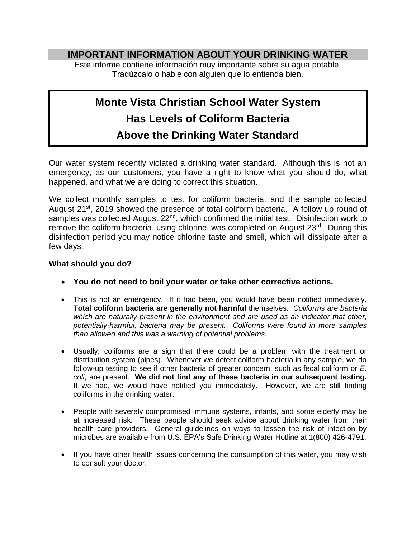## **IMPORTANT INFORMATION ABOUT YOUR DRINKING WATER**

Este informe contiene información muy importante sobre su agua potable. Tradúzcalo o hable con alguien que lo entienda bien.

## **Monte Vista Christian School Water System Has Levels of Coliform Bacteria Above the Drinking Water Standard**

Our water system recently violated a drinking water standard. Although this is not an emergency, as our customers, you have a right to know what you should do, what happened, and what we are doing to correct this situation.

We collect monthly samples to test for coliform bacteria, and the sample collected August 21<sup>st</sup>, 2019 showed the presence of total coliform bacteria. A follow up round of samples was collected August 22<sup>nd</sup>, which confirmed the initial test. Disinfection work to remove the coliform bacteria, using chlorine, was completed on August 23<sup>rd</sup>. During this disinfection period you may notice chlorine taste and smell, which will dissipate after a few days.

## **What should you do?**

- **You do not need to boil your water or take other corrective actions.**
- This is not an emergency. If it had been, you would have been notified immediately. **Total coliform bacteria are generally not harmful** themselves. *Coliforms are bacteria which are naturally present in the environment and are used as an indicator that other, potentially-harmful, bacteria may be present. Coliforms were found in more samples than allowed and this was a warning of potential problems.*
- Usually, coliforms are a sign that there could be a problem with the treatment or distribution system (pipes). Whenever we detect coliform bacteria in any sample, we do follow-up testing to see if other bacteria of greater concern, such as fecal coliform or *E. coli*, are present. **We did not find any of these bacteria in our subsequent testing.**  If we had, we would have notified you immediately. However, we are still finding coliforms in the drinking water.
- People with severely compromised immune systems, infants, and some elderly may be at increased risk. These people should seek advice about drinking water from their health care providers. General guidelines on ways to lessen the risk of infection by microbes are available from U.S. EPA's Safe Drinking Water Hotline at 1(800) 426-4791.
- If you have other health issues concerning the consumption of this water, you may wish to consult your doctor.